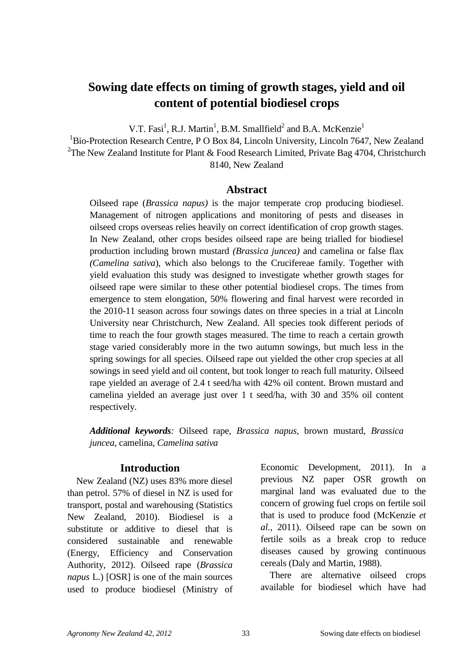# **Sowing date effects on timing of growth stages, yield and oil content of potential biodiesel crops**

V.T. Fasi<sup>1</sup>, R.J. Martin<sup>1</sup>, B.M. Smallfield<sup>2</sup> and B.A. McKenzie<sup>1</sup>

<sup>1</sup>Bio-Protection Research Centre, P O Box 84, Lincoln University, Lincoln 7647, New Zealand <sup>2</sup>The New Zealand Institute for Plant & Food Research Limited, Private Bag 4704, Christchurch 8140, New Zealand

## **Abstract**

Oilseed rape (*Brassica napus)* is the major temperate crop producing biodiesel. Management of nitrogen applications and monitoring of pests and diseases in oilseed crops overseas relies heavily on correct identification of crop growth stages. In New Zealand, other crops besides oilseed rape are being trialled for biodiesel production including brown mustard *(Brassica juncea)* and camelina or false flax *(Camelina sativa*), which also belongs to the Crucifereae family. Together with yield evaluation this study was designed to investigate whether growth stages for oilseed rape were similar to these other potential biodiesel crops. The times from emergence to stem elongation, 50% flowering and final harvest were recorded in the 2010-11 season across four sowings dates on three species in a trial at Lincoln University near Christchurch, New Zealand. All species took different periods of time to reach the four growth stages measured. The time to reach a certain growth stage varied considerably more in the two autumn sowings, but much less in the spring sowings for all species. Oilseed rape out yielded the other crop species at all sowings in seed yield and oil content, but took longer to reach full maturity. Oilseed rape yielded an average of 2.4 t seed/ha with 42% oil content. Brown mustard and camelina yielded an average just over 1 t seed/ha, with 30 and 35% oil content respectively.

*Additional keywords:* Oilseed rape*, Brassica napus,* brown mustard*, Brassica juncea,* camelina, *Camelina sativa*

## **Introduction**

New Zealand (NZ) uses 83% more diesel than petrol. 57% of diesel in NZ is used for transport, postal and warehousing (Statistics New Zealand, 2010). Biodiesel is a substitute or additive to diesel that is considered sustainable and renewable (Energy, Efficiency and Conservation Authority, 2012). Oilseed rape (*Brassica napus* L.) [OSR] is one of the main sources used to produce biodiesel (Ministry of Economic Development, 2011). In a previous NZ paper OSR growth on marginal land was evaluated due to the concern of growing fuel crops on fertile soil that is used to produce food (McKenzie *et al.*, 2011). Oilseed rape can be sown on fertile soils as a break crop to reduce diseases caused by growing continuous cereals (Daly and Martin, 1988).

There are alternative oilseed crops available for biodiesel which have had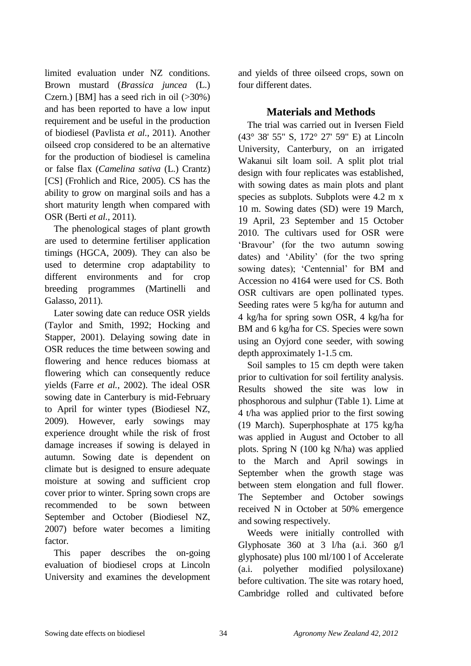limited evaluation under NZ conditions. Brown mustard (*Brassica juncea* (L.) Czern.) [BM] has a seed rich in oil  $(>30\%)$ and has been reported to have a low input requirement and be useful in the production of biodiesel (Pavlista *et al.*, 2011). Another oilseed crop considered to be an alternative for the production of biodiesel is camelina or false flax (*Camelina sativa* (L.) Crantz) [CS] (Frohlich and Rice, 2005). CS has the ability to grow on marginal soils and has a short maturity length when compared with OSR (Berti *et al.*, 2011).

The phenological stages of plant growth are used to determine fertiliser application timings (HGCA, 2009). They can also be used to determine crop adaptability to different environments and for crop breeding programmes (Martinelli and Galasso, 2011).

Later sowing date can reduce OSR yields (Taylor and Smith, 1992; Hocking and Stapper, 2001). Delaying sowing date in OSR reduces the time between sowing and flowering and hence reduces biomass at flowering which can consequently reduce yields (Farre *et al.*, 2002). The ideal OSR sowing date in Canterbury is mid-February to April for winter types (Biodiesel NZ, 2009). However, early sowings may experience drought while the risk of frost damage increases if sowing is delayed in autumn. Sowing date is dependent on climate but is designed to ensure adequate moisture at sowing and sufficient crop cover prior to winter. Spring sown crops are recommended to be sown between September and October (Biodiesel NZ, 2007) before water becomes a limiting factor.

This paper describes the on-going evaluation of biodiesel crops at Lincoln University and examines the development and yields of three oilseed crops, sown on four different dates.

# **Materials and Methods**

The trial was carried out in Iversen Field (43° 38' 55" S, 172° 27' 59" E) at Lincoln University, Canterbury, on an irrigated Wakanui silt loam soil. A split plot trial design with four replicates was established, with sowing dates as main plots and plant species as subplots. Subplots were 4.2 m x 10 m. Sowing dates (SD) were 19 March, 19 April, 23 September and 15 October 2010. The cultivars used for OSR were "Bravour" (for the two autumn sowing dates) and "Ability" (for the two spring sowing dates); 'Centennial' for BM and Accession no 4164 were used for CS. Both OSR cultivars are open pollinated types. Seeding rates were 5 kg/ha for autumn and 4 kg/ha for spring sown OSR, 4 kg/ha for BM and 6 kg/ha for CS. Species were sown using an Oyjord cone seeder, with sowing depth approximately 1-1.5 cm.

Soil samples to 15 cm depth were taken prior to cultivation for soil fertility analysis. Results showed the site was low in phosphorous and sulphur (Table 1). Lime at 4 t/ha was applied prior to the first sowing (19 March). Superphosphate at 175 kg/ha was applied in August and October to all plots. Spring N (100 kg N/ha) was applied to the March and April sowings in September when the growth stage was between stem elongation and full flower. The September and October sowings received N in October at 50% emergence and sowing respectively.

Weeds were initially controlled with Glyphosate 360 at 3 l/ha (a.i. 360  $g/l$ glyphosate) plus 100 ml/100 l of Accelerate (a.i. polyether modified polysiloxane) before cultivation. The site was rotary hoed, Cambridge rolled and cultivated before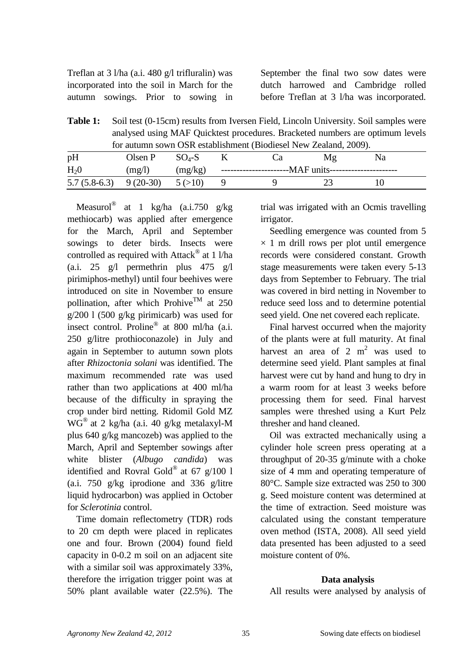Treflan at 3 l/ha (a.i. 480 g/l trifluralin) was incorporated into the soil in March for the autumn sowings. Prior to sowing in September the final two sow dates were dutch harrowed and Cambridge rolled before Treflan at 3 l/ha was incorporated.

**Table 1:** Soil test (0-15cm) results from Iversen Field, Lincoln University. Soil samples were analysed using MAF Quicktest procedures. Bracketed numbers are optimum levels for autumn sown OSR establishment (Biodiesel New Zealand, 2009).

| pH                        | Olsen P | $SO_4$ -S |                                                           | Μg | Na |  |
|---------------------------|---------|-----------|-----------------------------------------------------------|----|----|--|
| $H_2$ <sup>0</sup>        | (mg/l)  | (mg/kg)   | --------------------------MAF units---------------------- |    |    |  |
| $5.7(5.8-6.3)$ $9(20-30)$ |         | 5(>10)    |                                                           |    |    |  |

Measurol<sup>®</sup> at 1 kg/ha (a.i.750 g/kg methiocarb) was applied after emergence for the March, April and September sowings to deter birds. Insects were controlled as required with Attack<sup>®</sup> at 1 l/ha (a.i. 25 g/l permethrin plus 475 g/l pirimiphos-methyl) until four beehives were introduced on site in November to ensure pollination, after which Prohive<sup>TM</sup> at 250 g/200 l (500 g/kg pirimicarb) was used for insect control. Proline® at 800 ml/ha (a.i. 250 g/litre prothioconazole) in July and again in September to autumn sown plots after *Rhizoctonia solani* was identified. The maximum recommended rate was used rather than two applications at 400 ml/ha because of the difficulty in spraying the crop under bird netting. Ridomil Gold MZ WG® at 2 kg/ha (a.i. 40 g/kg metalaxyl-M plus 640 g/kg mancozeb) was applied to the March, April and September sowings after white blister (*Albugo candida*) was identified and Rovral Gold® at 67  $g/100$  l (a.i. 750 g/kg iprodione and 336 g/litre liquid hydrocarbon) was applied in October for *Sclerotinia* control.

Time domain reflectometry (TDR) rods to 20 cm depth were placed in replicates one and four. Brown (2004) found field capacity in 0-0.2 m soil on an adjacent site with a similar soil was approximately 33%, therefore the irrigation trigger point was at 50% plant available water (22.5%). The trial was irrigated with an Ocmis travelling irrigator.

Seedling emergence was counted from 5  $\times$  1 m drill rows per plot until emergence records were considered constant. Growth stage measurements were taken every 5-13 days from September to February. The trial was covered in bird netting in November to reduce seed loss and to determine potential seed yield. One net covered each replicate.

Final harvest occurred when the majority of the plants were at full maturity. At final harvest an area of 2  $m<sup>2</sup>$  was used to determine seed yield. Plant samples at final harvest were cut by hand and hung to dry in a warm room for at least 3 weeks before processing them for seed. Final harvest samples were threshed using a Kurt Pelz thresher and hand cleaned.

Oil was extracted mechanically using a cylinder hole screen press operating at a throughput of 20-35 g/minute with a choke size of 4 mm and operating temperature of 80°C. Sample size extracted was 250 to 300 g. Seed moisture content was determined at the time of extraction. Seed moisture was calculated using the constant temperature oven method (ISTA, 2008). All seed yield data presented has been adjusted to a seed moisture content of 0%.

## **Data analysis**

All results were analysed by analysis of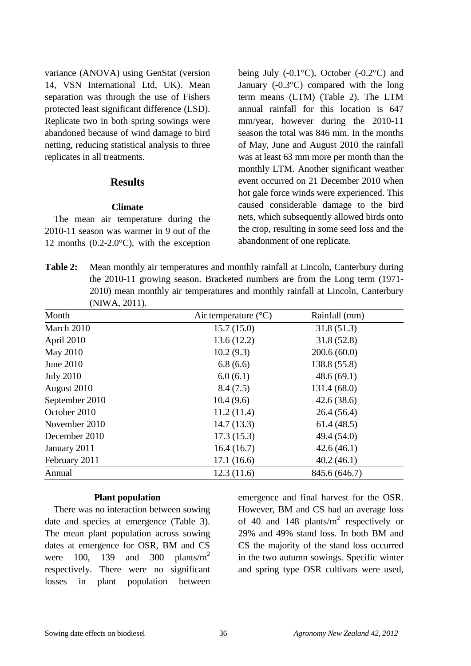variance (ANOVA) using GenStat (version 14, VSN International Ltd, UK). Mean separation was through the use of Fishers protected least significant difference (LSD). Replicate two in both spring sowings were abandoned because of wind damage to bird netting, reducing statistical analysis to three replicates in all treatments.

## **Results**

#### **Climate**

The mean air temperature during the 2010-11 season was warmer in 9 out of the 12 months (0.2-2.0°C), with the exception being July  $(-0.1^{\circ}C)$ , October  $(-0.2^{\circ}C)$  and January (-0.3°C) compared with the long term means (LTM) (Table 2). The LTM annual rainfall for this location is 647 mm/year, however during the 2010-11 season the total was 846 mm. In the months of May, June and August 2010 the rainfall was at least 63 mm more per month than the monthly LTM. Another significant weather event occurred on 21 December 2010 when hot gale force winds were experienced. This caused considerable damage to the bird nets, which subsequently allowed birds onto the crop, resulting in some seed loss and the abandonment of one replicate.

**Table 2:** Mean monthly air temperatures and monthly rainfall at Lincoln, Canterbury during the 2010-11 growing season. Bracketed numbers are from the Long term (1971- 2010) mean monthly air temperatures and monthly rainfall at Lincoln, Canterbury (NIWA, 2011).

| Month            | Air temperature $(^{\circ}C)$ | Rainfall (mm) |
|------------------|-------------------------------|---------------|
| March 2010       | 15.7(15.0)                    | 31.8(51.3)    |
| April 2010       | 13.6(12.2)                    | 31.8(52.8)    |
| <b>May 2010</b>  | 10.2(9.3)                     | 200.6(60.0)   |
| June 2010        | 6.8(6.6)                      | 138.8 (55.8)  |
| <b>July 2010</b> | 6.0(6.1)                      | 48.6(69.1)    |
| August 2010      | 8.4(7.5)                      | 131.4(68.0)   |
| September 2010   | 10.4(9.6)                     | 42.6(38.6)    |
| October 2010     | 11.2(11.4)                    | 26.4(56.4)    |
| November 2010    | 14.7(13.3)                    | 61.4(48.5)    |
| December 2010    | 17.3(15.3)                    | 49.4 (54.0)   |
| January 2011     | 16.4(16.7)                    | 42.6(46.1)    |
| February 2011    | 17.1(16.6)                    | 40.2(46.1)    |
| Annual           | 12.3(11.6)                    | 845.6 (646.7) |

#### **Plant population**

There was no interaction between sowing date and species at emergence (Table 3). The mean plant population across sowing dates at emergence for OSR, BM and CS were 100, 139 and 300 plants/ $m<sup>2</sup>$ respectively. There were no significant losses in plant population between

emergence and final harvest for the OSR. However, BM and CS had an average loss of 40 and 148 plants/ $m^2$  respectively or 29% and 49% stand loss. In both BM and CS the majority of the stand loss occurred in the two autumn sowings. Specific winter and spring type OSR cultivars were used,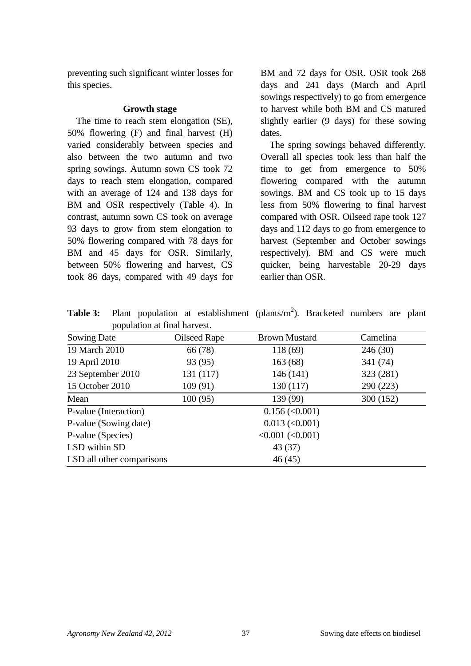preventing such significant winter losses for this species.

#### **Growth stage**

The time to reach stem elongation (SE), 50% flowering (F) and final harvest (H) varied considerably between species and also between the two autumn and two spring sowings. Autumn sown CS took 72 days to reach stem elongation, compared with an average of 124 and 138 days for BM and OSR respectively (Table 4). In contrast, autumn sown CS took on average 93 days to grow from stem elongation to 50% flowering compared with 78 days for BM and 45 days for OSR. Similarly, between 50% flowering and harvest, CS took 86 days, compared with 49 days for BM and 72 days for OSR. OSR took 268 days and 241 days (March and April sowings respectively) to go from emergence to harvest while both BM and CS matured slightly earlier (9 days) for these sowing dates.

The spring sowings behaved differently. Overall all species took less than half the time to get from emergence to 50% flowering compared with the autumn sowings. BM and CS took up to 15 days less from 50% flowering to final harvest compared with OSR. Oilseed rape took 127 days and 112 days to go from emergence to harvest (September and October sowings respectively). BM and CS were much quicker, being harvestable 20-29 days earlier than OSR.

**Table 3:** Plant population at establishment (plants/ $m<sup>2</sup>$ ). Bracketed numbers are plant population at final harvest.

| Sowing Date               | Oilseed Rape | <b>Brown Mustard</b>                    | Camelina  |
|---------------------------|--------------|-----------------------------------------|-----------|
| 19 March 2010             | 66 (78)      | 118 (69)                                | 246(30)   |
| 19 April 2010             | 93 (95)      | 163(68)                                 | 341 (74)  |
| 23 September 2010         | 131 (117)    | 146(141)                                | 323 (281) |
| 15 October 2010           | 109(91)      | 130 (117)                               | 290 (223) |
| Mean                      | 100(95)      | 139 (99)                                | 300 (152) |
| P-value (Interaction)     |              | $0.156 \, (\leq 0.001)$                 |           |
| P-value (Sowing date)     |              | $0.013 \, (\leq 0.001)$                 |           |
| P-value (Species)         |              | $\langle 0.001 (\langle 0.001 \rangle)$ |           |
| LSD within SD             |              | 43 (37)                                 |           |
| LSD all other comparisons |              | 46(45)                                  |           |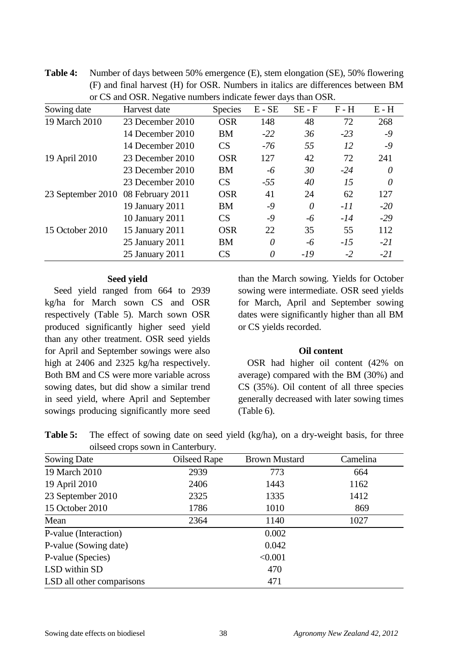| Sowing date                        | Harvest date     | <b>Species</b> | $E - SE$ | $SE - F$ | $F - H$ | $E - H$ |
|------------------------------------|------------------|----------------|----------|----------|---------|---------|
| 19 March 2010                      | 23 December 2010 | <b>OSR</b>     | 148      | 48       | 72      | 268     |
|                                    | 14 December 2010 | <b>BM</b>      | $-22$    | 36       | $-23$   | $-9$    |
|                                    | 14 December 2010 | CS             | $-76$    | 55       | 12      | $-9$    |
| 19 April 2010                      | 23 December 2010 | <b>OSR</b>     | 127      | 42       | 72      | 241     |
|                                    | 23 December 2010 | <b>BM</b>      | -6       | 30       | $-24$   | 0       |
|                                    | 23 December 2010 | CS             | $-55$    | 40       | 15      | 0       |
| 23 September 2010 08 February 2011 |                  | <b>OSR</b>     | 41       | 24       | 62      | 127     |
|                                    | 19 January 2011  | <b>BM</b>      | $-9$     | 0        | $-II$   | $-20$   |
|                                    | 10 January 2011  | CS             | $-9$     | -6       | $-14$   | $-29$   |
| 15 October 2010                    | 15 January 2011  | <b>OSR</b>     | 22       | 35       | 55      | 112     |
|                                    | 25 January 2011  | <b>BM</b>      | 0        | -6       | $-15$   | $-21$   |
|                                    | 25 January 2011  | CS             | 0        | $-19$    | $-2$    | $-21$   |

**Table 4:** Number of days between 50% emergence (E), stem elongation (SE), 50% flowering (F) and final harvest (H) for OSR. Numbers in italics are differences between BM or CS and OSR. Negative numbers indicate fewer days than OSR.

#### **Seed yield**

Seed yield ranged from 664 to 2939 kg/ha for March sown CS and OSR respectively (Table 5). March sown OSR produced significantly higher seed yield than any other treatment. OSR seed yields for April and September sowings were also high at 2406 and 2325 kg/ha respectively. Both BM and CS were more variable across sowing dates, but did show a similar trend in seed yield, where April and September sowings producing significantly more seed than the March sowing. Yields for October sowing were intermediate. OSR seed yields for March, April and September sowing dates were significantly higher than all BM or CS yields recorded.

#### **Oil content**

OSR had higher oil content (42% on average) compared with the BM (30%) and CS (35%). Oil content of all three species generally decreased with later sowing times (Table 6).

**Table 5:** The effect of sowing date on seed yield (kg/ha), on a dry-weight basis, for three oilseed crops sown in Canterbury.

| Sowing Date               | Oilseed Rape | <b>Brown Mustard</b> | Camelina |
|---------------------------|--------------|----------------------|----------|
| 19 March 2010             | 2939         | 773                  | 664      |
| 19 April 2010             | 2406         | 1443                 | 1162     |
| 23 September 2010         | 2325         | 1335                 | 1412     |
| 15 October 2010           | 1786         | 1010                 | 869      |
| Mean                      | 2364         | 1140                 | 1027     |
| P-value (Interaction)     |              | 0.002                |          |
| P-value (Sowing date)     |              | 0.042                |          |
| P-value (Species)         |              | < 0.001              |          |
| LSD within SD             |              | 470                  |          |
| LSD all other comparisons |              | 471                  |          |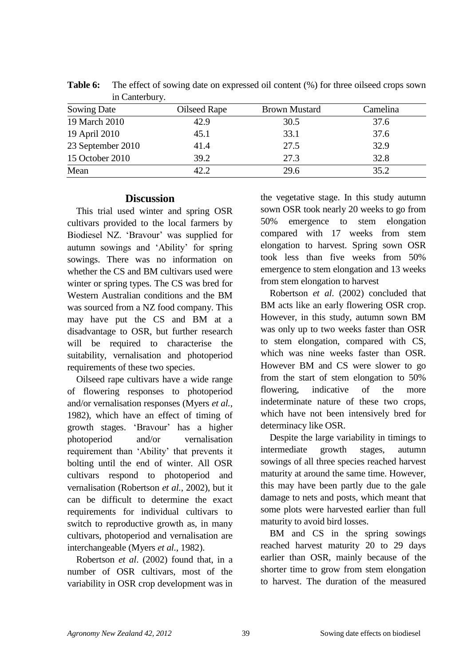| III Canterbury.   |              |                      |          |
|-------------------|--------------|----------------------|----------|
| Sowing Date       | Oilseed Rape | <b>Brown Mustard</b> | Camelina |
| 19 March 2010     | 42.9         | 30.5                 | 37.6     |
| 19 April 2010     | 45.1         | 33.1                 | 37.6     |
| 23 September 2010 | 41.4         | 27.5                 | 32.9     |
| 15 October 2010   | 39.2         | 27.3                 | 32.8     |
| Mean              | 42.2         | 29.6                 | 35.2     |

**Table 6:** The effect of sowing date on expressed oil content (%) for three oilseed crops sown in Canterbury.

## **Discussion**

This trial used winter and spring OSR cultivars provided to the local farmers by Biodiesel NZ. "Bravour" was supplied for autumn sowings and "Ability" for spring sowings. There was no information on whether the CS and BM cultivars used were winter or spring types. The CS was bred for Western Australian conditions and the BM was sourced from a NZ food company. This may have put the CS and BM at a disadvantage to OSR, but further research will be required to characterise the suitability, vernalisation and photoperiod requirements of these two species.

Oilseed rape cultivars have a wide range of flowering responses to photoperiod and/or vernalisation responses (Myers *et al.*, 1982), which have an effect of timing of growth stages. "Bravour" has a higher photoperiod and/or vernalisation requirement than "Ability" that prevents it bolting until the end of winter. All OSR cultivars respond to photoperiod and vernalisation (Robertson *et al.*, 2002), but it can be difficult to determine the exact requirements for individual cultivars to switch to reproductive growth as, in many cultivars, photoperiod and vernalisation are interchangeable (Myers *et al.*, 1982).

Robertson *et al*. (2002) found that, in a number of OSR cultivars, most of the variability in OSR crop development was in the vegetative stage. In this study autumn sown OSR took nearly 20 weeks to go from 50% emergence to stem elongation compared with 17 weeks from stem elongation to harvest. Spring sown OSR took less than five weeks from 50% emergence to stem elongation and 13 weeks from stem elongation to harvest

Robertson *et al*. (2002) concluded that BM acts like an early flowering OSR crop. However, in this study, autumn sown BM was only up to two weeks faster than OSR to stem elongation, compared with CS, which was nine weeks faster than OSR. However BM and CS were slower to go from the start of stem elongation to 50% flowering, indicative of the more indeterminate nature of these two crops, which have not been intensively bred for determinacy like OSR.

Despite the large variability in timings to intermediate growth stages, autumn sowings of all three species reached harvest maturity at around the same time. However, this may have been partly due to the gale damage to nets and posts, which meant that some plots were harvested earlier than full maturity to avoid bird losses.

BM and CS in the spring sowings reached harvest maturity 20 to 29 days earlier than OSR, mainly because of the shorter time to grow from stem elongation to harvest. The duration of the measured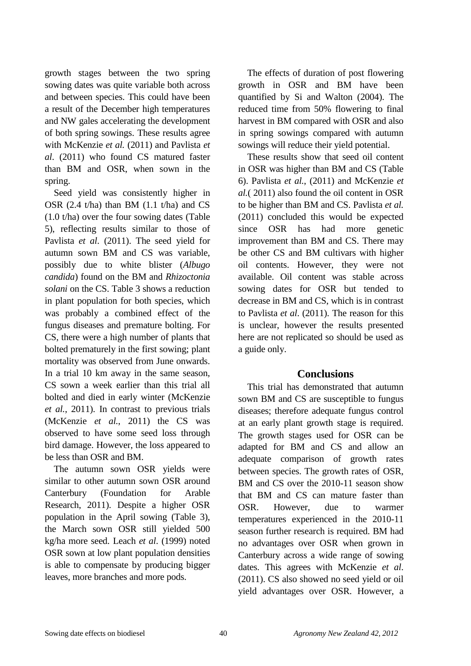growth stages between the two spring sowing dates was quite variable both across and between species. This could have been a result of the December high temperatures and NW gales accelerating the development of both spring sowings. These results agree with McKenzie *et al.* (2011) and Pavlista *et al*. (2011) who found CS matured faster than BM and OSR, when sown in the spring.

Seed yield was consistently higher in OSR (2.4 t/ha) than BM (1.1 t/ha) and CS (1.0 t/ha) over the four sowing dates (Table 5), reflecting results similar to those of Pavlista *et al*. (2011). The seed yield for autumn sown BM and CS was variable, possibly due to white blister (*Albugo candida*) found on the BM and *Rhizoctonia solani* on the CS. Table 3 shows a reduction in plant population for both species, which was probably a combined effect of the fungus diseases and premature bolting. For CS, there were a high number of plants that bolted prematurely in the first sowing; plant mortality was observed from June onwards. In a trial 10 km away in the same season, CS sown a week earlier than this trial all bolted and died in early winter (McKenzie *et al.*, 2011). In contrast to previous trials (McKenzie *et al.*, 2011) the CS was observed to have some seed loss through bird damage. However, the loss appeared to be less than OSR and BM.

The autumn sown OSR yields were similar to other autumn sown OSR around Canterbury (Foundation for Arable Research, 2011). Despite a higher OSR population in the April sowing (Table 3), the March sown OSR still yielded 500 kg/ha more seed. Leach *et al*. (1999) noted OSR sown at low plant population densities is able to compensate by producing bigger leaves, more branches and more pods.

The effects of duration of post flowering growth in OSR and BM have been quantified by Si and Walton (2004). The reduced time from 50% flowering to final harvest in BM compared with OSR and also in spring sowings compared with autumn sowings will reduce their yield potential.

These results show that seed oil content in OSR was higher than BM and CS (Table 6). Pavlista *et al.*, (2011) and McKenzie *et al.*( 2011) also found the oil content in OSR to be higher than BM and CS. Pavlista *et al.*  (2011) concluded this would be expected since OSR has had more genetic improvement than BM and CS. There may be other CS and BM cultivars with higher oil contents. However, they were not available. Oil content was stable across sowing dates for OSR but tended to decrease in BM and CS, which is in contrast to Pavlista *et al*. (2011). The reason for this is unclear, however the results presented here are not replicated so should be used as a guide only.

# **Conclusions**

This trial has demonstrated that autumn sown BM and CS are susceptible to fungus diseases; therefore adequate fungus control at an early plant growth stage is required. The growth stages used for OSR can be adapted for BM and CS and allow an adequate comparison of growth rates between species. The growth rates of OSR, BM and CS over the 2010-11 season show that BM and CS can mature faster than OSR. However, due to warmer temperatures experienced in the 2010-11 season further research is required. BM had no advantages over OSR when grown in Canterbury across a wide range of sowing dates. This agrees with McKenzie *et al*. (2011). CS also showed no seed yield or oil yield advantages over OSR. However, a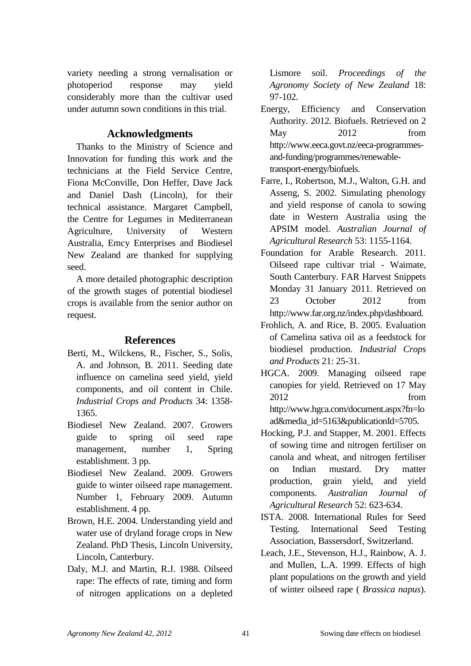variety needing a strong vernalisation or photoperiod response may yield considerably more than the cultivar used under autumn sown conditions in this trial.

## **Acknowledgments**

Thanks to the Ministry of Science and Innovation for funding this work and the technicians at the Field Service Centre, Fiona McConville, Don Heffer, Dave Jack and Daniel Dash (Lincoln), for their technical assistance. Margaret Campbell, the Centre for Legumes in Mediterranean Agriculture, University of Western Australia, Emcy Enterprises and Biodiesel New Zealand are thanked for supplying seed.

A more detailed photographic description of the growth stages of potential biodiesel crops is available from the senior author on request.

# **References**

- Berti, M., Wilckens, R., Fischer, S., Solis, A. and Johnson, B. 2011. Seeding date influence on camelina seed yield, yield components, and oil content in Chile. *Industrial Crops and Products* 34: 1358- 1365.
- Biodiesel New Zealand. 2007. Growers guide to spring oil seed rape management, number 1, Spring establishment. 3 pp.
- Biodiesel New Zealand. 2009. Growers guide to winter oilseed rape management. Number 1, February 2009. Autumn establishment. 4 pp.
- Brown, H.E. 2004. Understanding yield and water use of dryland forage crops in New Zealand. PhD Thesis, Lincoln University, Lincoln, Canterbury.
- Daly, M.J. and Martin, R.J. 1988. Oilseed rape: The effects of rate, timing and form of nitrogen applications on a depleted

Lismore soil. *Proceedings of the Agronomy Society of New Zealand* 18: 97-102.

- Energy, Efficiency and Conservation Authority. 2012. Biofuels. Retrieved on 2 May 2012 from http://www.eeca.govt.nz/eeca-programmesand-funding/programmes/renewabletransport-energy/biofuels.
- Farre, I., Robertson, M.J., Walton, G.H. and Asseng, S. 2002. Simulating phenology and yield response of canola to sowing date in Western Australia using the APSIM model. *Australian Journal of Agricultural Research* 53: 1155-1164.
- Foundation for Arable Research. 2011. Oilseed rape cultivar trial - Waimate, South Canterbury. FAR Harvest Snippets Monday 31 January 2011. Retrieved on 23 October 2012 from http://www.far.org.nz/index.php/dashboard.
- Frohlich, A. and Rice, B. 2005. Evaluation of Camelina sativa oil as a feedstock for biodiesel production. *Industrial Crops and Products* 21: 25-31.
- HGCA. 2009. Managing oilseed rape canopies for yield. Retrieved on 17 May 2012 from http://www.hgca.com/document.aspx?fn=lo ad&media\_id=5163&publicationId=5705.
- Hocking, P.J. and Stapper, M. 2001. Effects of sowing time and nitrogen fertiliser on canola and wheat, and nitrogen fertiliser on Indian mustard. Dry matter production, grain yield, and yield components. *Australian Journal of Agricultural Research* 52: 623-634.
- ISTA. 2008. International Rules for Seed Testing. International Seed Testing Association, Bassersdorf, Switzerland.
- Leach, J.E., Stevenson, H.J., Rainbow, A. J. and Mullen, L.A. 1999. Effects of high plant populations on the growth and yield of winter oilseed rape ( *Brassica napus*).